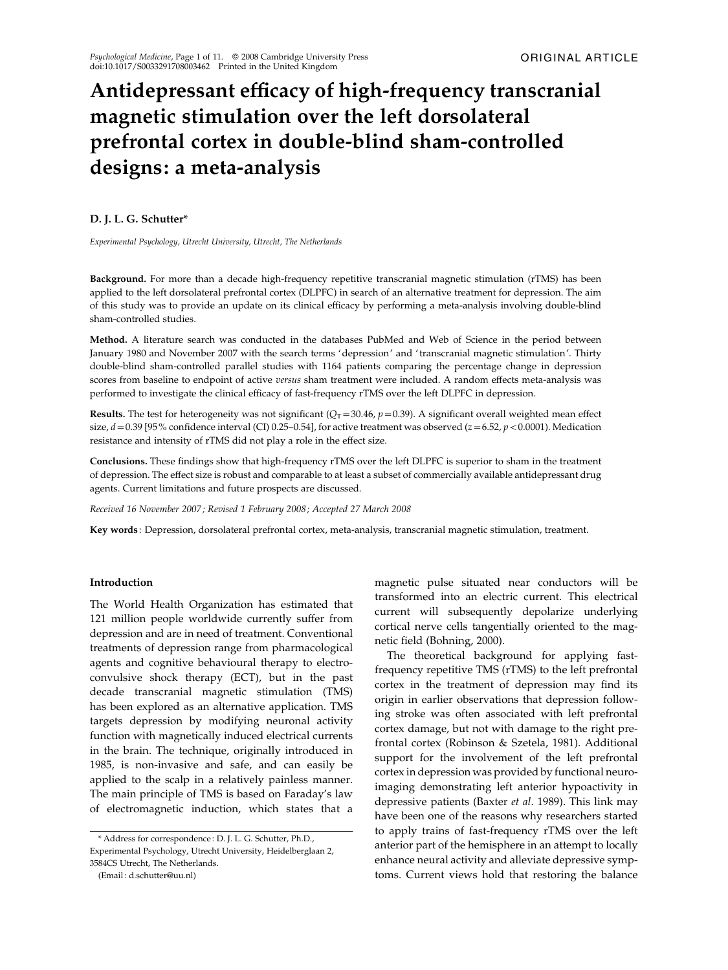# Antidepressant efficacy of high-frequency transcranial magnetic stimulation over the left dorsolateral prefrontal cortex in double-blind sham-controlled designs: a meta-analysis

# D. J. L. G. Schutter\*

Experimental Psychology, Utrecht University, Utrecht, The Netherlands

Background. For more than a decade high-frequency repetitive transcranial magnetic stimulation (rTMS) has been applied to the left dorsolateral prefrontal cortex (DLPFC) in search of an alternative treatment for depression. The aim of this study was to provide an update on its clinical efficacy by performing a meta-analysis involving double-blind sham-controlled studies.

Method. A literature search was conducted in the databases PubMed and Web of Science in the period between January 1980 and November 2007 with the search terms 'depression' and ' transcranial magnetic stimulation'. Thirty double-blind sham-controlled parallel studies with 1164 patients comparing the percentage change in depression scores from baseline to endpoint of active versus sham treatment were included. A random effects meta-analysis was performed to investigate the clinical efficacy of fast-frequency rTMS over the left DLPFC in depression.

**Results.** The test for heterogeneity was not significant ( $Q_T$ =30.46,  $p$  =0.39). A significant overall weighted mean effect size,  $d = 0.39$  [95% confidence interval (CI) 0.25–0.54], for active treatment was observed ( $z = 6.52$ ,  $p < 0.0001$ ). Medication resistance and intensity of rTMS did not play a role in the effect size.

Conclusions. These findings show that high-frequency rTMS over the left DLPFC is superior to sham in the treatment of depression. The effect size is robust and comparable to at least a subset of commercially available antidepressant drug agents. Current limitations and future prospects are discussed.

Received 16 November 2007; Revised 1 February 2008; Accepted 27 March 2008

Key words : Depression, dorsolateral prefrontal cortex, meta-analysis, transcranial magnetic stimulation, treatment.

## Introduction

The World Health Organization has estimated that 121 million people worldwide currently suffer from depression and are in need of treatment. Conventional treatments of depression range from pharmacological agents and cognitive behavioural therapy to electroconvulsive shock therapy (ECT), but in the past decade transcranial magnetic stimulation (TMS) has been explored as an alternative application. TMS targets depression by modifying neuronal activity function with magnetically induced electrical currents in the brain. The technique, originally introduced in 1985, is non-invasive and safe, and can easily be applied to the scalp in a relatively painless manner. The main principle of TMS is based on Faraday's law of electromagnetic induction, which states that a

magnetic pulse situated near conductors will be transformed into an electric current. This electrical current will subsequently depolarize underlying cortical nerve cells tangentially oriented to the magnetic field (Bohning, 2000).

The theoretical background for applying fastfrequency repetitive TMS (rTMS) to the left prefrontal cortex in the treatment of depression may find its origin in earlier observations that depression following stroke was often associated with left prefrontal cortex damage, but not with damage to the right prefrontal cortex (Robinson & Szetela, 1981). Additional support for the involvement of the left prefrontal cortex in depression was provided by functional neuroimaging demonstrating left anterior hypoactivity in depressive patients (Baxter et al. 1989). This link may have been one of the reasons why researchers started to apply trains of fast-frequency rTMS over the left anterior part of the hemisphere in an attempt to locally enhance neural activity and alleviate depressive symptoms. Current views hold that restoring the balance

<sup>\*</sup> Address for correspondence : D. J. L. G. Schutter, Ph.D., Experimental Psychology, Utrecht University, Heidelberglaan 2, 3584CS Utrecht, The Netherlands.

<sup>(</sup>Email : d.schutter@uu.nl)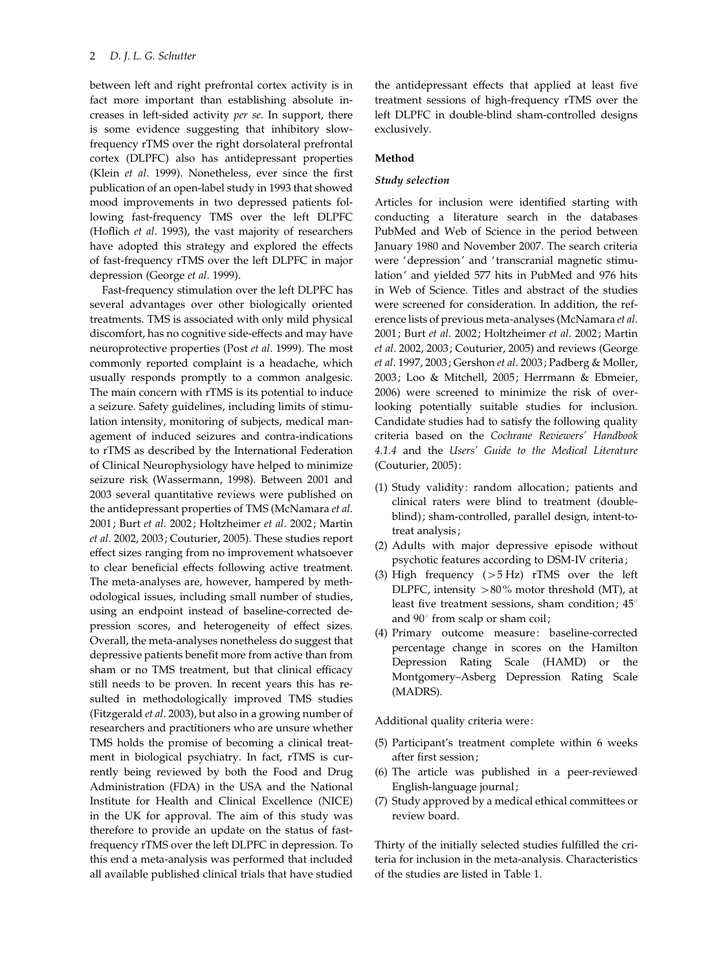between left and right prefrontal cortex activity is in fact more important than establishing absolute increases in left-sided activity per se. In support, there is some evidence suggesting that inhibitory slowfrequency rTMS over the right dorsolateral prefrontal cortex (DLPFC) also has antidepressant properties (Klein et al. 1999). Nonetheless, ever since the first publication of an open-label study in 1993 that showed mood improvements in two depressed patients following fast-frequency TMS over the left DLPFC (Hoflich et al. 1993), the vast majority of researchers have adopted this strategy and explored the effects of fast-frequency rTMS over the left DLPFC in major depression (George et al. 1999).

Fast-frequency stimulation over the left DLPFC has several advantages over other biologically oriented treatments. TMS is associated with only mild physical discomfort, has no cognitive side-effects and may have neuroprotective properties (Post et al. 1999). The most commonly reported complaint is a headache, which usually responds promptly to a common analgesic. The main concern with rTMS is its potential to induce a seizure. Safety guidelines, including limits of stimulation intensity, monitoring of subjects, medical management of induced seizures and contra-indications to rTMS as described by the International Federation of Clinical Neurophysiology have helped to minimize seizure risk (Wassermann, 1998). Between 2001 and 2003 several quantitative reviews were published on the antidepressant properties of TMS (McNamara et al. 2001; Burt et al. 2002; Holtzheimer et al. 2002; Martin et al. 2002, 2003; Couturier, 2005). These studies report effect sizes ranging from no improvement whatsoever to clear beneficial effects following active treatment. The meta-analyses are, however, hampered by methodological issues, including small number of studies, using an endpoint instead of baseline-corrected depression scores, and heterogeneity of effect sizes. Overall, the meta-analyses nonetheless do suggest that depressive patients benefit more from active than from sham or no TMS treatment, but that clinical efficacy still needs to be proven. In recent years this has resulted in methodologically improved TMS studies (Fitzgerald et al. 2003), but also in a growing number of researchers and practitioners who are unsure whether TMS holds the promise of becoming a clinical treatment in biological psychiatry. In fact, rTMS is currently being reviewed by both the Food and Drug Administration (FDA) in the USA and the National Institute for Health and Clinical Excellence (NICE) in the UK for approval. The aim of this study was therefore to provide an update on the status of fastfrequency rTMS over the left DLPFC in depression. To this end a meta-analysis was performed that included all available published clinical trials that have studied

the antidepressant effects that applied at least five treatment sessions of high-frequency rTMS over the left DLPFC in double-blind sham-controlled designs exclusively.

# Method

## Study selection

Articles for inclusion were identified starting with conducting a literature search in the databases PubMed and Web of Science in the period between January 1980 and November 2007. The search criteria were 'depression' and ' transcranial magnetic stimulation' and yielded 577 hits in PubMed and 976 hits in Web of Science. Titles and abstract of the studies were screened for consideration. In addition, the reference lists of previous meta-analyses (McNamara et al. 2001; Burt et al. 2002; Holtzheimer et al. 2002; Martin et al. 2002, 2003; Couturier, 2005) and reviews (George et al. 1997, 2003; Gershon et al. 2003; Padberg & Moller, 2003; Loo & Mitchell, 2005; Herrmann & Ebmeier, 2006) were screened to minimize the risk of overlooking potentially suitable studies for inclusion. Candidate studies had to satisfy the following quality criteria based on the Cochrane Reviewers' Handbook 4.1.4 and the Users' Guide to the Medical Literature (Couturier, 2005):

- (1) Study validity: random allocation; patients and clinical raters were blind to treatment (doubleblind); sham-controlled, parallel design, intent-totreat analysis;
- (2) Adults with major depressive episode without psychotic features according to DSM-IV criteria;
- (3) High frequency (>5 Hz) rTMS over the left DLPFC, intensity  $>80\%$  motor threshold (MT), at least five treatment sessions, sham condition;  $45^\circ$ and  $90^\circ$  from scalp or sham coil;
- (4) Primary outcome measure: baseline-corrected percentage change in scores on the Hamilton Depression Rating Scale (HAMD) or the Montgomery–Asberg Depression Rating Scale (MADRS).

Additional quality criteria were:

- (5) Participant's treatment complete within 6 weeks after first session;
- (6) The article was published in a peer-reviewed English-language journal;
- (7) Study approved by a medical ethical committees or review board.

Thirty of the initially selected studies fulfilled the criteria for inclusion in the meta-analysis. Characteristics of the studies are listed in Table 1.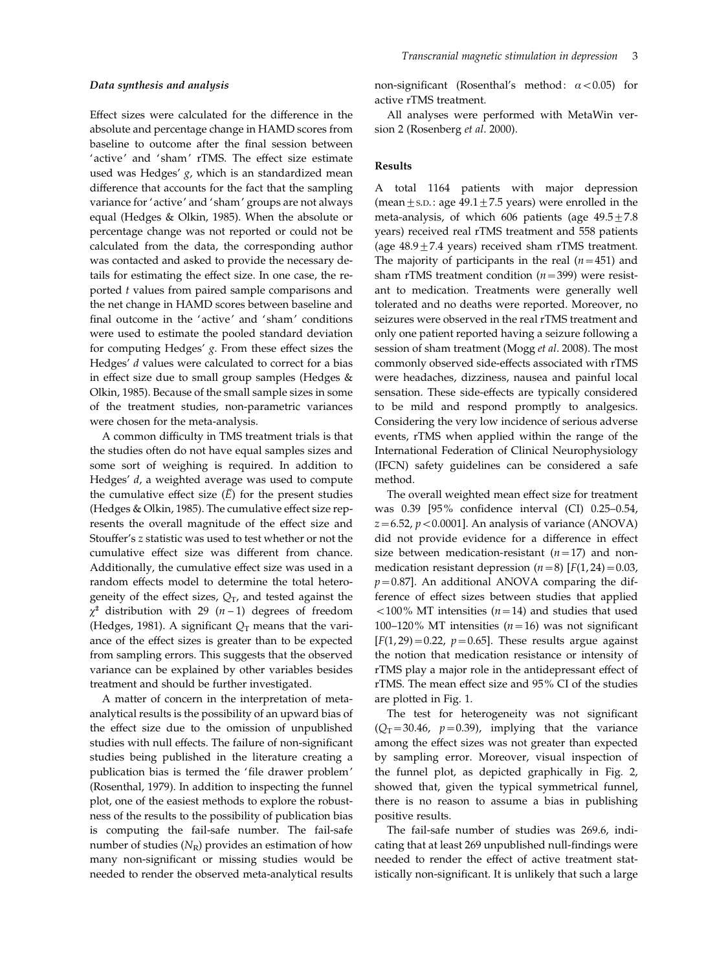Effect sizes were calculated for the difference in the absolute and percentage change in HAMD scores from baseline to outcome after the final session between 'active' and 'sham' rTMS. The effect size estimate used was Hedges'  $g$ , which is an standardized mean difference that accounts for the fact that the sampling variance for 'active' and 'sham' groups are not always equal (Hedges & Olkin, 1985). When the absolute or percentage change was not reported or could not be calculated from the data, the corresponding author was contacted and asked to provide the necessary details for estimating the effect size. In one case, the reported t values from paired sample comparisons and the net change in HAMD scores between baseline and final outcome in the 'active' and 'sham' conditions were used to estimate the pooled standard deviation for computing Hedges' g. From these effect sizes the Hedges' d values were calculated to correct for a bias in effect size due to small group samples (Hedges & Olkin, 1985). Because of the small sample sizes in some of the treatment studies, non-parametric variances were chosen for the meta-analysis.

A common difficulty in TMS treatment trials is that the studies often do not have equal samples sizes and some sort of weighing is required. In addition to Hedges' d, a weighted average was used to compute the cumulative effect size  $(\overline{E})$  for the present studies (Hedges & Olkin, 1985). The cumulative effect size represents the overall magnitude of the effect size and Stouffer's z statistic was used to test whether or not the cumulative effect size was different from chance. Additionally, the cumulative effect size was used in a random effects model to determine the total heterogeneity of the effect sizes,  $Q_T$ , and tested against the  $\chi^2$  distribution with 29 (n-1) degrees of freedom (Hedges, 1981). A significant  $Q_T$  means that the variance of the effect sizes is greater than to be expected from sampling errors. This suggests that the observed variance can be explained by other variables besides treatment and should be further investigated.

A matter of concern in the interpretation of metaanalytical results is the possibility of an upward bias of the effect size due to the omission of unpublished studies with null effects. The failure of non-significant studies being published in the literature creating a publication bias is termed the 'file drawer problem' (Rosenthal, 1979). In addition to inspecting the funnel plot, one of the easiest methods to explore the robustness of the results to the possibility of publication bias is computing the fail-safe number. The fail-safe number of studies  $(N_R)$  provides an estimation of how many non-significant or missing studies would be needed to render the observed meta-analytical results non-significant (Rosenthal's method:  $\alpha$  < 0.05) for active rTMS treatment.

All analyses were performed with MetaWin version 2 (Rosenberg et al. 2000).

## Results

A total 1164 patients with major depression (mean  $\pm$  s.D.: age 49.1 $\pm$ 7.5 years) were enrolled in the meta-analysis, of which 606 patients (age  $49.5 \pm 7.8$ years) received real rTMS treatment and 558 patients (age  $48.9 \pm 7.4$  years) received sham rTMS treatment. The majority of participants in the real  $(n=451)$  and sham rTMS treatment condition  $(n=399)$  were resistant to medication. Treatments were generally well tolerated and no deaths were reported. Moreover, no seizures were observed in the real rTMS treatment and only one patient reported having a seizure following a session of sham treatment (Mogg et al. 2008). The most commonly observed side-effects associated with rTMS were headaches, dizziness, nausea and painful local sensation. These side-effects are typically considered to be mild and respond promptly to analgesics. Considering the very low incidence of serious adverse events, rTMS when applied within the range of the International Federation of Clinical Neurophysiology (IFCN) safety guidelines can be considered a safe method.

The overall weighted mean effect size for treatment was 0.39 [95% confidence interval (CI) 0.25–0.54,  $z=6.52$ ,  $p < 0.0001$ ]. An analysis of variance (ANOVA) did not provide evidence for a difference in effect size between medication-resistant  $(n=17)$  and nonmedication resistant depression  $(n=8)$  [F(1, 24) = 0.03,  $p=0.87$ ]. An additional ANOVA comparing the difference of effect sizes between studies that applied  $<$ 100% MT intensities ( $n=14$ ) and studies that used 100–120% MT intensities  $(n=16)$  was not significant  $[F(1, 29) = 0.22, p = 0.65]$ . These results argue against the notion that medication resistance or intensity of rTMS play a major role in the antidepressant effect of rTMS. The mean effect size and 95% CI of the studies are plotted in Fig. 1.

The test for heterogeneity was not significant  $(Q_T=30.46, p=0.39)$ , implying that the variance among the effect sizes was not greater than expected by sampling error. Moreover, visual inspection of the funnel plot, as depicted graphically in Fig. 2, showed that, given the typical symmetrical funnel, there is no reason to assume a bias in publishing positive results.

The fail-safe number of studies was 269.6, indicating that at least 269 unpublished null-findings were needed to render the effect of active treatment statistically non-significant. It is unlikely that such a large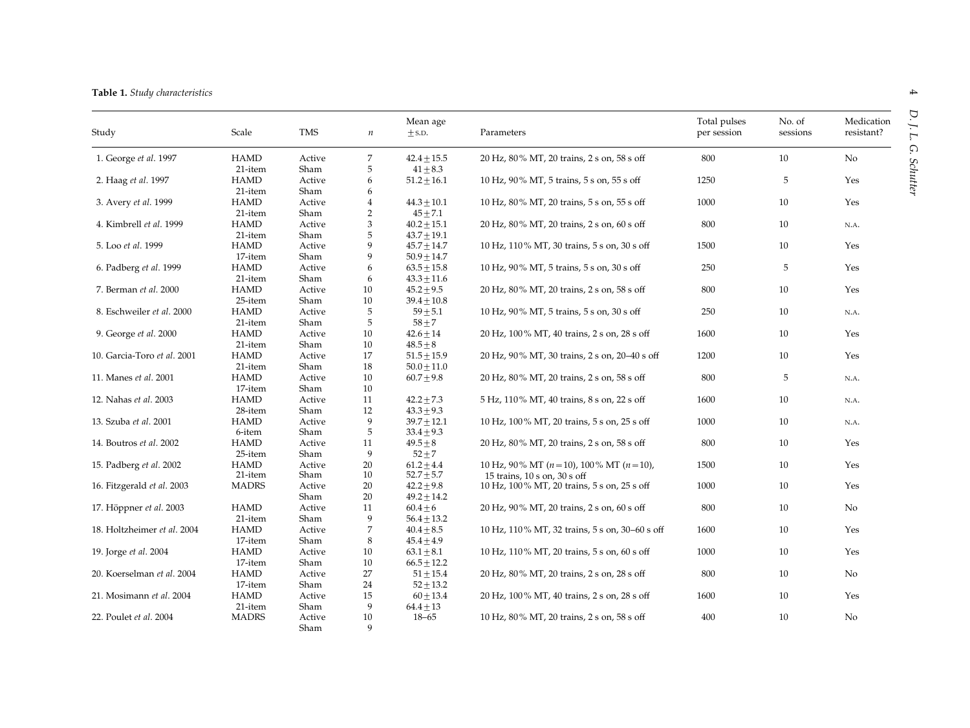#### Table 1. Study characteristics

| Study                       | Scale        | <b>TMS</b> | $\it n$        | Mean age<br>$\pm$ S.D. | Parameters                                     | Total pulses<br>per session | No. of<br>sessions | Medication<br>resistant? |
|-----------------------------|--------------|------------|----------------|------------------------|------------------------------------------------|-----------------------------|--------------------|--------------------------|
| 1. George et al. 1997       | <b>HAMD</b>  | Active     | 7              | $42.4 \pm 15.5$        | 20 Hz, 80% MT, 20 trains, 2 s on, 58 s off     | 800                         | 10                 | No                       |
|                             | 21-item      | Sham       | 5              | $41 \pm 8.3$           |                                                |                             |                    |                          |
| 2. Haag et al. 1997         | <b>HAMD</b>  | Active     | 6              | $51.2 \pm 16.1$        | 10 Hz, 90% MT, 5 trains, 5 s on, 55 s off      | 1250                        | 5                  | Yes                      |
|                             | 21-item      | Sham       | 6              |                        |                                                |                             |                    |                          |
| 3. Avery et al. 1999        | <b>HAMD</b>  | Active     | $\overline{4}$ | $44.3 \pm 10.1$        | 10 Hz, 80% MT, 20 trains, 5 s on, 55 s off     | 1000                        | 10                 | Yes                      |
|                             | 21-item      | Sham       | $\overline{2}$ | $45 + 7.1$             |                                                |                             |                    |                          |
| 4. Kimbrell et al. 1999     | <b>HAMD</b>  | Active     | 3              | $40.2 \pm 15.1$        | 20 Hz, 80% MT, 20 trains, 2 s on, 60 s off     | 800                         | 10                 | N.A.                     |
|                             | 21-item      | Sham       | 5              | $43.7 \pm 19.1$        |                                                |                             |                    |                          |
| 5. Loo et al. 1999          | <b>HAMD</b>  | Active     | 9              | $45.7 \pm 14.7$        | 10 Hz, 110% MT, 30 trains, 5 s on, 30 s off    | 1500                        | 10                 | Yes                      |
|                             | 17-item      | Sham       | 9              | $50.9 + 14.7$          |                                                |                             |                    |                          |
| 6. Padberg et al. 1999      | <b>HAMD</b>  | Active     | 6              | $63.5 \pm 15.8$        | 10 Hz, 90% MT, 5 trains, 5 s on, 30 s off      | 250                         | 5                  | Yes                      |
|                             | 21-item      | Sham       | 6              | $43.3 \pm 11.6$        |                                                |                             |                    |                          |
| 7. Berman et al. 2000       | <b>HAMD</b>  | Active     | 10             | $45.2 \pm 9.5$         | 20 Hz, 80% MT, 20 trains, 2 s on, 58 s off     | 800                         | 10                 | Yes                      |
|                             | 25-item      | Sham       | $10\,$         | $39.4 \pm 10.8$        |                                                |                             |                    |                          |
| 8. Eschweiler et al. 2000   | <b>HAMD</b>  | Active     | 5              | $59 + 5.1$             | 10 Hz, 90% MT, 5 trains, 5 s on, 30 s off      | 250                         | 10                 |                          |
|                             |              | Sham       | 5              | $58 + 7$               |                                                |                             |                    | N.A.                     |
|                             | 21-item      |            |                |                        |                                                |                             |                    |                          |
| 9. George et al. 2000       | <b>HAMD</b>  | Active     | 10             | $42.6 + 14$            | 20 Hz, 100% MT, 40 trains, 2 s on, 28 s off    | 1600                        | 10                 | Yes                      |
|                             | 21-item      | Sham       | 10             | $48.5 + 8$             |                                                |                             |                    |                          |
| 10. Garcia-Toro et al. 2001 | <b>HAMD</b>  | Active     | 17             | $51.5 \pm 15.9$        | 20 Hz, 90% MT, 30 trains, 2 s on, 20–40 s off  | 1200                        | 10                 | Yes                      |
|                             | 21-item      | Sham       | 18             | $50.0 \pm 11.0$        |                                                |                             |                    |                          |
| 11. Manes et al. 2001       | <b>HAMD</b>  | Active     | 10             | $60.7 + 9.8$           | 20 Hz, 80% MT, 20 trains, 2 s on, 58 s off     | 800                         | 5                  | N.A.                     |
|                             | 17-item      | Sham       | 10             |                        |                                                |                             |                    |                          |
| 12. Nahas et al. 2003       | <b>HAMD</b>  | Active     | 11             | $42.2 \pm 7.3$         | 5 Hz, 110% MT, 40 trains, 8 s on, 22 s off     | 1600                        | 10                 | N.A.                     |
|                             | 28-item      | Sham       | 12             | $43.3 \pm 9.3$         |                                                |                             |                    |                          |
| 13. Szuba et al. 2001       | <b>HAMD</b>  | Active     | 9              | $39.7 \pm 12.1$        | 10 Hz, 100% MT, 20 trains, 5 s on, 25 s off    | 1000                        | 10                 | N.A.                     |
|                             | 6-item       | Sham       | 5              | $33.4 \pm 9.3$         |                                                |                             |                    |                          |
| 14. Boutros et al. 2002     | <b>HAMD</b>  | Active     | 11             | $49.5 + 8$             | 20 Hz, 80% MT, 20 trains, 2 s on, 58 s off     | 800                         | 10                 | Yes                      |
|                             | 25-item      | Sham       | 9              | $52 + 7$               |                                                |                             |                    |                          |
| 15. Padberg et al. 2002     | <b>HAMD</b>  | Active     | 20             | $61.2 + 4.4$           | 10 Hz, 90% MT $(n=10)$ , 100% MT $(n=10)$ ,    | 1500                        | 10                 | Yes                      |
|                             | 21-item      | Sham       | 10             | $52.7 \pm 5.7$         | 15 trains, 10 s on, 30 s off                   |                             |                    |                          |
| 16. Fitzgerald et al. 2003  | <b>MADRS</b> | Active     | 20             | $42.2 \pm 9.8$         | 10 Hz, 100% MT, 20 trains, 5 s on, 25 s off    | 1000                        | 10                 | Yes                      |
|                             |              | Sham       | 20             | $49.2 \pm 14.2$        |                                                |                             |                    |                          |
| 17. Höppner et al. 2003     | <b>HAMD</b>  | Active     | 11             | $60.4 \pm 6$           | 20 Hz, 90% MT, 20 trains, 2 s on, 60 s off     | $800\,$                     | 10                 | $\rm No$                 |
|                             | 21-item      | Sham       | 9              |                        |                                                |                             |                    |                          |
|                             |              |            |                | $56.4 + 13.2$          |                                                |                             |                    |                          |
| 18. Holtzheimer et al. 2004 | <b>HAMD</b>  | Active     | $\overline{7}$ | $40.4 \pm 8.5$         | 10 Hz, 110% MT, 32 trains, 5 s on, 30–60 s off | 1600                        | 10                 | Yes                      |
|                             | 17-item      | Sham       | 8              | $45.4 \pm 4.9$         |                                                |                             |                    |                          |
| 19. Jorge et al. 2004       | <b>HAMD</b>  | Active     | 10             | $63.1 \pm 8.1$         | 10 Hz, 110% MT, 20 trains, 5 s on, 60 s off    | 1000                        | 10                 | Yes                      |
|                             | 17-item      | Sham       | $10\,$         | $66.5 \pm 12.2$        |                                                |                             |                    |                          |
| 20. Koerselman et al. 2004  | <b>HAMD</b>  | Active     | 27             | $51 \pm 15.4$          | 20 Hz, 80% MT, 20 trains, 2 s on, 28 s off     | 800                         | 10                 | $\rm No$                 |
|                             | 17-item      | Sham       | 24             | $52 + 13.2$            |                                                |                             |                    |                          |
| 21. Mosimann et al. 2004    | <b>HAMD</b>  | Active     | 15             | $60 + 13.4$            | 20 Hz, 100% MT, 40 trains, 2 s on, 28 s off    | 1600                        | 10                 | Yes                      |
|                             | 21-item      | Sham       | 9              | $64.4 \pm 13$          |                                                |                             |                    |                          |
| 22. Poulet et al. 2004      | <b>MADRS</b> | Active     | 10             | $18 - 65$              | 10 Hz, 80% MT, 20 trains, 2 s on, 58 s off     | 400                         | 10                 | No                       |
|                             |              | Sham       | 9              |                        |                                                |                             |                    |                          |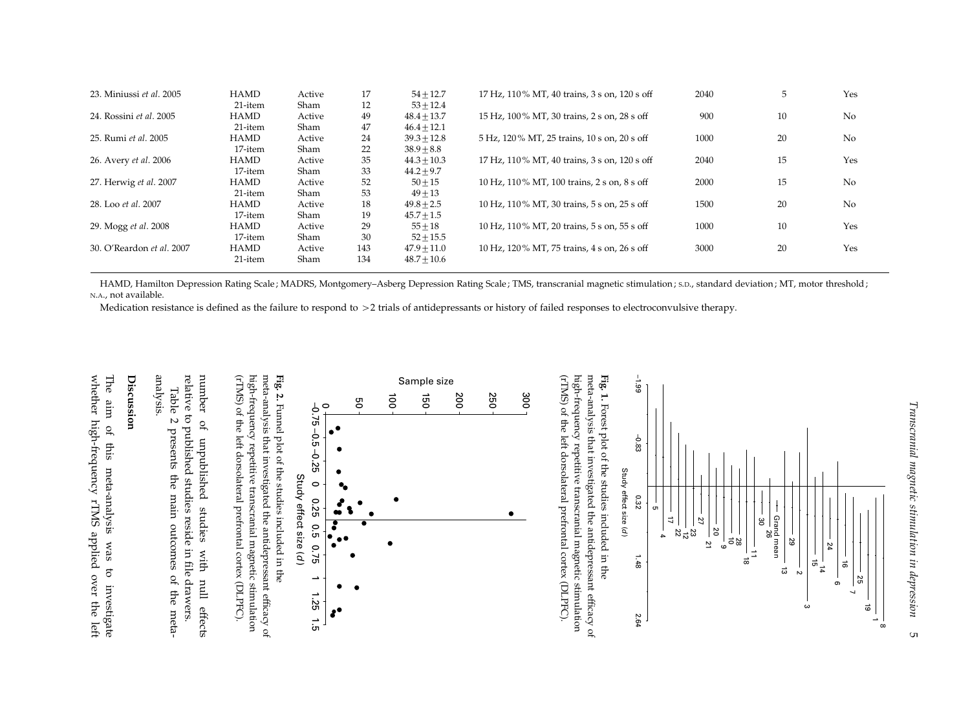| 23. Miniussi et al. 2005  | <b>HAMD</b> | Active | 17  | $54 + 12.7$    | 17 Hz, 110% MT, 40 trains, 3 s on, 120 s off | 2040 | 5  | Yes |
|---------------------------|-------------|--------|-----|----------------|----------------------------------------------|------|----|-----|
|                           | 21-item     | Sham   | 12  | $53 + 12.4$    |                                              |      |    |     |
| 24. Rossini et al. 2005   | <b>HAMD</b> | Active | 49  | $48.4 + 13.7$  | 15 Hz, 100% MT, 30 trains, 2 s on, 28 s off  | 900  | 10 | No  |
|                           | 21-item     | Sham   | 47  | $46.4 + 12.1$  |                                              |      |    |     |
| 25. Rumi et al. 2005      | <b>HAMD</b> | Active | 24  | $39.3 + 12.8$  | 5 Hz, 120% MT, 25 trains, 10 s on, 20 s off  | 1000 | 20 | No  |
|                           | 17-item     | Sham   | 22  | $38.9 + 8.8$   |                                              |      |    |     |
| 26. Avery et al. 2006     | <b>HAMD</b> | Active | 35  | $44.3 + 10.3$  | 17 Hz, 110% MT, 40 trains, 3 s on, 120 s off | 2040 | 15 | Yes |
|                           | 17-item     | Sham   | 33  | $44.2 + 9.7$   |                                              |      |    |     |
| 27. Herwig et al. 2007    | <b>HAMD</b> | Active | 52  | $50 + 15$      | 10 Hz, 110% MT, 100 trains, 2 s on, 8 s off  | 2000 | 15 | No  |
|                           | 21-item     | Sham   | 53  | $49 + 13$      |                                              |      |    |     |
| 28. Loo et al. 2007       | <b>HAMD</b> | Active | 18  | $49.8 + 2.5$   | 10 Hz, 110% MT, 30 trains, 5 s on, 25 s off  | 1500 | 20 | No  |
|                           | 17-item     | Sham   | 19  | $45.7 \pm 1.5$ |                                              |      |    |     |
| 29. Mogg et al. 2008      | <b>HAMD</b> | Active | 29  | $55 + 18$      | 10 Hz, 110% MT, 20 trains, 5 s on, 55 s off  | 1000 | 10 | Yes |
|                           | 17-item     | Sham   | 30  | $52 \pm 15.5$  |                                              |      |    |     |
| 30. O'Reardon et al. 2007 | <b>HAMD</b> | Active | 143 | $47.9 + 11.0$  | 10 Hz, 120% MT, 75 trains, 4 s on, 26 s off  | 3000 | 20 | Yes |
|                           | 21-item     | Sham   | 134 | $48.7 + 10.6$  |                                              |      |    |     |

HAMD, Hamilton Depression Rating Scale ; MADRS, Montgomery–Asberg Depression Rating Scale ; TMS, transcranial magnetic stimulation ; S.D., standard deviation ; MT, motor threshold ; N.A., not available.

Medication resistance is defined as the failure to respond to <sup>&</sup>gt;<sup>2</sup> trials of antidepressants or history of failed responses to electroconvulsive therapy.

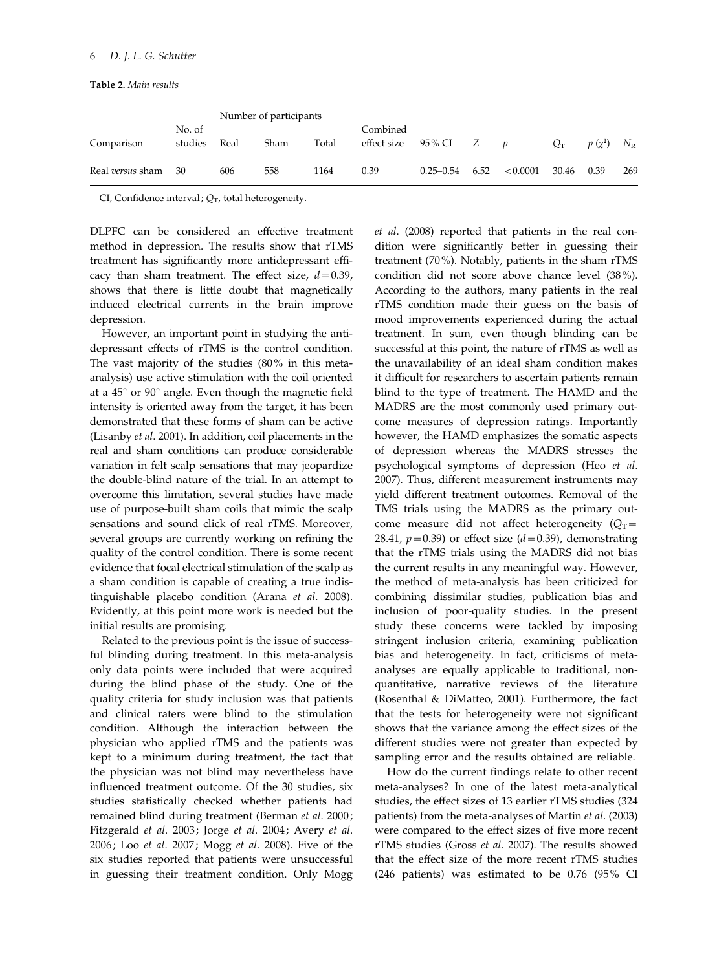Table 2. Main results

| Comparison       | No. of<br>studies | Number of participants |      |       | Combined           |               |      |                  |       |             |             |
|------------------|-------------------|------------------------|------|-------|--------------------|---------------|------|------------------|-------|-------------|-------------|
|                  |                   | Real                   | Sham | Total | effect size 95% CI |               | Z    | $\boldsymbol{p}$ | $Q_T$ | $p(\chi^2)$ | $N_{\rm R}$ |
| Real versus sham | - 30              | 606                    | 558  | 1164  | 0.39               | $0.25 - 0.54$ | 6.52 | < 0.0001         | 30.46 | 0.39        | 269         |

CI, Confidence interval;  $Q_T$ , total heterogeneity.

DLPFC can be considered an effective treatment method in depression. The results show that rTMS treatment has significantly more antidepressant efficacy than sham treatment. The effect size,  $d=0.39$ , shows that there is little doubt that magnetically induced electrical currents in the brain improve depression.

However, an important point in studying the antidepressant effects of rTMS is the control condition. The vast majority of the studies (80% in this metaanalysis) use active stimulation with the coil oriented at a  $45^{\circ}$  or  $90^{\circ}$  angle. Even though the magnetic field intensity is oriented away from the target, it has been demonstrated that these forms of sham can be active (Lisanby et al. 2001). In addition, coil placements in the real and sham conditions can produce considerable variation in felt scalp sensations that may jeopardize the double-blind nature of the trial. In an attempt to overcome this limitation, several studies have made use of purpose-built sham coils that mimic the scalp sensations and sound click of real rTMS. Moreover, several groups are currently working on refining the quality of the control condition. There is some recent evidence that focal electrical stimulation of the scalp as a sham condition is capable of creating a true indistinguishable placebo condition (Arana et al. 2008). Evidently, at this point more work is needed but the initial results are promising.

Related to the previous point is the issue of successful blinding during treatment. In this meta-analysis only data points were included that were acquired during the blind phase of the study. One of the quality criteria for study inclusion was that patients and clinical raters were blind to the stimulation condition. Although the interaction between the physician who applied rTMS and the patients was kept to a minimum during treatment, the fact that the physician was not blind may nevertheless have influenced treatment outcome. Of the 30 studies, six studies statistically checked whether patients had remained blind during treatment (Berman et al. 2000; Fitzgerald et al. 2003; Jorge et al. 2004; Avery et al. 2006; Loo et al. 2007; Mogg et al. 2008). Five of the six studies reported that patients were unsuccessful in guessing their treatment condition. Only Mogg et al. (2008) reported that patients in the real condition were significantly better in guessing their treatment (70%). Notably, patients in the sham rTMS condition did not score above chance level (38%). According to the authors, many patients in the real rTMS condition made their guess on the basis of mood improvements experienced during the actual treatment. In sum, even though blinding can be successful at this point, the nature of rTMS as well as the unavailability of an ideal sham condition makes it difficult for researchers to ascertain patients remain blind to the type of treatment. The HAMD and the MADRS are the most commonly used primary outcome measures of depression ratings. Importantly however, the HAMD emphasizes the somatic aspects of depression whereas the MADRS stresses the psychological symptoms of depression (Heo et al. 2007). Thus, different measurement instruments may yield different treatment outcomes. Removal of the TMS trials using the MADRS as the primary outcome measure did not affect heterogeneity  $(Q_T=$ 28.41,  $p=0.39$ ) or effect size ( $d=0.39$ ), demonstrating that the rTMS trials using the MADRS did not bias the current results in any meaningful way. However, the method of meta-analysis has been criticized for combining dissimilar studies, publication bias and inclusion of poor-quality studies. In the present study these concerns were tackled by imposing stringent inclusion criteria, examining publication bias and heterogeneity. In fact, criticisms of metaanalyses are equally applicable to traditional, nonquantitative, narrative reviews of the literature (Rosenthal & DiMatteo, 2001). Furthermore, the fact that the tests for heterogeneity were not significant shows that the variance among the effect sizes of the different studies were not greater than expected by sampling error and the results obtained are reliable.

How do the current findings relate to other recent meta-analyses? In one of the latest meta-analytical studies, the effect sizes of 13 earlier rTMS studies (324 patients) from the meta-analyses of Martin et al. (2003) were compared to the effect sizes of five more recent rTMS studies (Gross et al. 2007). The results showed that the effect size of the more recent rTMS studies (246 patients) was estimated to be 0.76 (95% CI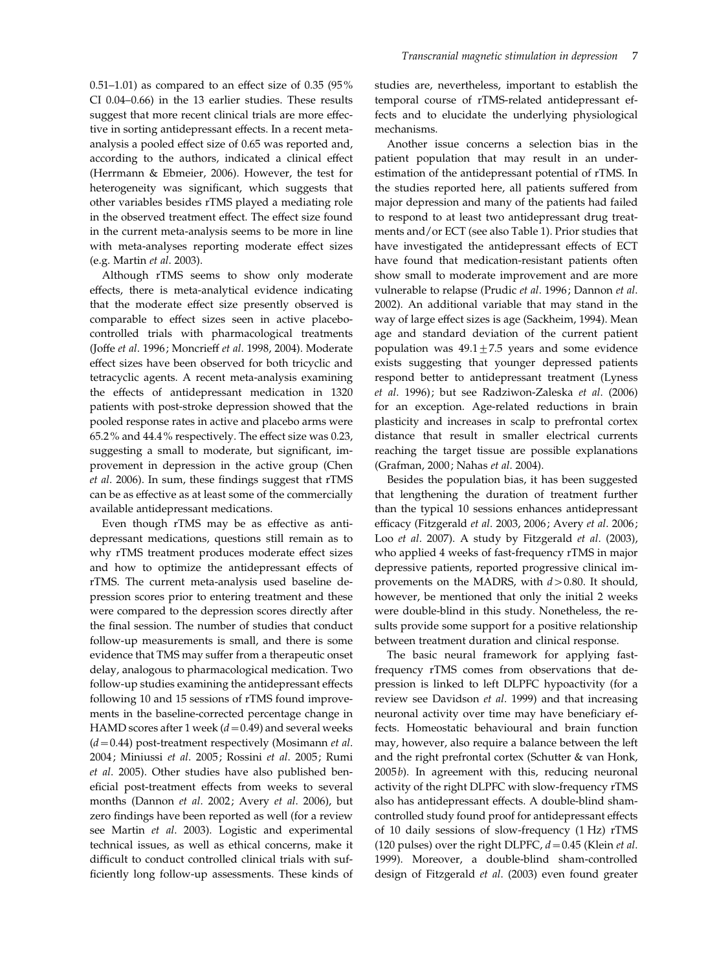$0.51-1.01$ ) as compared to an effect size of  $0.35$  (95%) CI 0.04–0.66) in the 13 earlier studies. These results suggest that more recent clinical trials are more effective in sorting antidepressant effects. In a recent metaanalysis a pooled effect size of 0.65 was reported and, according to the authors, indicated a clinical effect (Herrmann & Ebmeier, 2006). However, the test for heterogeneity was significant, which suggests that other variables besides rTMS played a mediating role in the observed treatment effect. The effect size found in the current meta-analysis seems to be more in line with meta-analyses reporting moderate effect sizes (e.g. Martin et al. 2003).

Although rTMS seems to show only moderate effects, there is meta-analytical evidence indicating that the moderate effect size presently observed is comparable to effect sizes seen in active placebocontrolled trials with pharmacological treatments (Joffe et al. 1996; Moncrieff et al. 1998, 2004). Moderate effect sizes have been observed for both tricyclic and tetracyclic agents. A recent meta-analysis examining the effects of antidepressant medication in 1320 patients with post-stroke depression showed that the pooled response rates in active and placebo arms were 65.2% and 44.4% respectively. The effect size was 0.23, suggesting a small to moderate, but significant, improvement in depression in the active group (Chen et al. 2006). In sum, these findings suggest that rTMS can be as effective as at least some of the commercially available antidepressant medications.

Even though rTMS may be as effective as antidepressant medications, questions still remain as to why rTMS treatment produces moderate effect sizes and how to optimize the antidepressant effects of rTMS. The current meta-analysis used baseline depression scores prior to entering treatment and these were compared to the depression scores directly after the final session. The number of studies that conduct follow-up measurements is small, and there is some evidence that TMS may suffer from a therapeutic onset delay, analogous to pharmacological medication. Two follow-up studies examining the antidepressant effects following 10 and 15 sessions of rTMS found improvements in the baseline-corrected percentage change in HAMD scores after 1 week ( $d=0.49$ ) and several weeks  $(d=0.44)$  post-treatment respectively (Mosimann et al. 2004; Miniussi et al. 2005; Rossini et al. 2005; Rumi et al. 2005). Other studies have also published beneficial post-treatment effects from weeks to several months (Dannon et al. 2002; Avery et al. 2006), but zero findings have been reported as well (for a review see Martin et al. 2003). Logistic and experimental technical issues, as well as ethical concerns, make it difficult to conduct controlled clinical trials with sufficiently long follow-up assessments. These kinds of studies are, nevertheless, important to establish the temporal course of rTMS-related antidepressant effects and to elucidate the underlying physiological mechanisms.

Another issue concerns a selection bias in the patient population that may result in an underestimation of the antidepressant potential of rTMS. In the studies reported here, all patients suffered from major depression and many of the patients had failed to respond to at least two antidepressant drug treatments and/or ECT (see also Table 1). Prior studies that have investigated the antidepressant effects of ECT have found that medication-resistant patients often show small to moderate improvement and are more vulnerable to relapse (Prudic et al. 1996; Dannon et al. 2002). An additional variable that may stand in the way of large effect sizes is age (Sackheim, 1994). Mean age and standard deviation of the current patient population was  $49.1 \pm 7.5$  years and some evidence exists suggesting that younger depressed patients respond better to antidepressant treatment (Lyness et al. 1996); but see Radziwon-Zaleska et al. (2006) for an exception. Age-related reductions in brain plasticity and increases in scalp to prefrontal cortex distance that result in smaller electrical currents reaching the target tissue are possible explanations (Grafman, 2000; Nahas et al. 2004).

Besides the population bias, it has been suggested that lengthening the duration of treatment further than the typical 10 sessions enhances antidepressant efficacy (Fitzgerald et al. 2003, 2006; Avery et al. 2006; Loo et al. 2007). A study by Fitzgerald et al. (2003), who applied 4 weeks of fast-frequency rTMS in major depressive patients, reported progressive clinical improvements on the MADRS, with  $d > 0.80$ . It should, however, be mentioned that only the initial 2 weeks were double-blind in this study. Nonetheless, the results provide some support for a positive relationship between treatment duration and clinical response.

The basic neural framework for applying fastfrequency rTMS comes from observations that depression is linked to left DLPFC hypoactivity (for a review see Davidson et al. 1999) and that increasing neuronal activity over time may have beneficiary effects. Homeostatic behavioural and brain function may, however, also require a balance between the left and the right prefrontal cortex (Schutter & van Honk, 2005b). In agreement with this, reducing neuronal activity of the right DLPFC with slow-frequency rTMS also has antidepressant effects. A double-blind shamcontrolled study found proof for antidepressant effects of 10 daily sessions of slow-frequency (1 Hz) rTMS (120 pulses) over the right DLPFC,  $d = 0.45$  (Klein et al. 1999). Moreover, a double-blind sham-controlled design of Fitzgerald et al. (2003) even found greater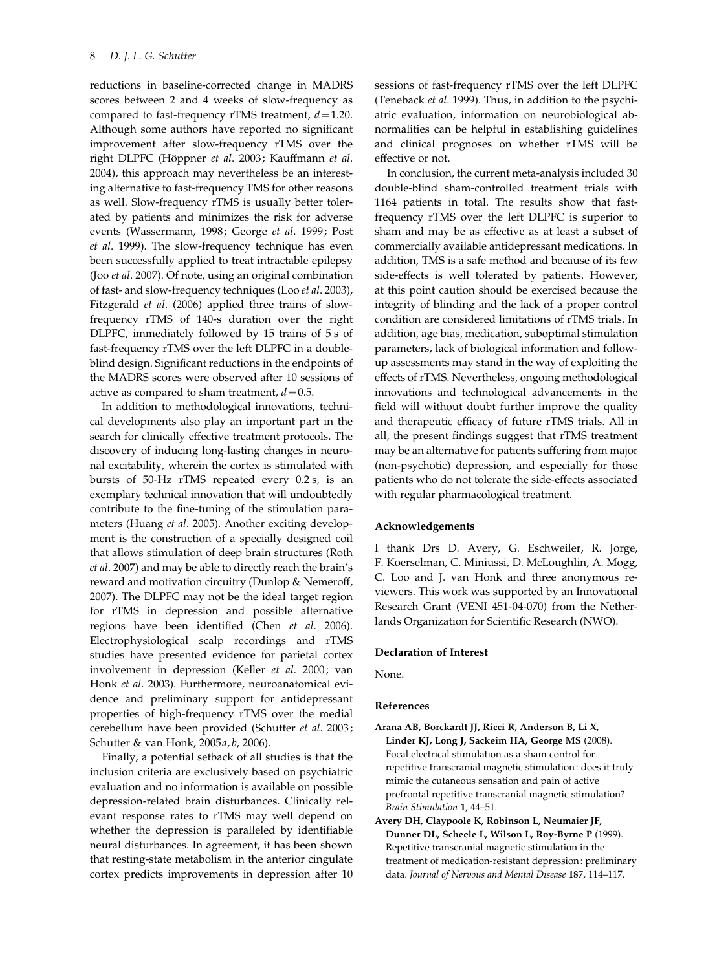reductions in baseline-corrected change in MADRS scores between 2 and 4 weeks of slow-frequency as compared to fast-frequency rTMS treatment,  $d = 1.20$ . Although some authors have reported no significant improvement after slow-frequency rTMS over the right DLPFC (Höppner et al. 2003; Kauffmann et al. 2004), this approach may nevertheless be an interesting alternative to fast-frequency TMS for other reasons as well. Slow-frequency rTMS is usually better tolerated by patients and minimizes the risk for adverse events (Wassermann, 1998; George et al. 1999; Post et al. 1999). The slow-frequency technique has even been successfully applied to treat intractable epilepsy (Joo et al. 2007). Of note, using an original combination of fast- and slow-frequency techniques (Loo et al. 2003), Fitzgerald et al. (2006) applied three trains of slowfrequency rTMS of 140-s duration over the right DLPFC, immediately followed by 15 trains of 5 s of fast-frequency rTMS over the left DLPFC in a doubleblind design. Significant reductions in the endpoints of the MADRS scores were observed after 10 sessions of active as compared to sham treatment,  $d=0.5$ .

In addition to methodological innovations, technical developments also play an important part in the search for clinically effective treatment protocols. The discovery of inducing long-lasting changes in neuronal excitability, wherein the cortex is stimulated with bursts of 50-Hz rTMS repeated every 0.2 s, is an exemplary technical innovation that will undoubtedly contribute to the fine-tuning of the stimulation parameters (Huang et al. 2005). Another exciting development is the construction of a specially designed coil that allows stimulation of deep brain structures (Roth et al. 2007) and may be able to directly reach the brain's reward and motivation circuitry (Dunlop & Nemeroff, 2007). The DLPFC may not be the ideal target region for rTMS in depression and possible alternative regions have been identified (Chen et al. 2006). Electrophysiological scalp recordings and rTMS studies have presented evidence for parietal cortex involvement in depression (Keller et al. 2000; van Honk et al. 2003). Furthermore, neuroanatomical evidence and preliminary support for antidepressant properties of high-frequency rTMS over the medial cerebellum have been provided (Schutter et al. 2003; Schutter & van Honk, 2005a, b, 2006).

Finally, a potential setback of all studies is that the inclusion criteria are exclusively based on psychiatric evaluation and no information is available on possible depression-related brain disturbances. Clinically relevant response rates to rTMS may well depend on whether the depression is paralleled by identifiable neural disturbances. In agreement, it has been shown that resting-state metabolism in the anterior cingulate cortex predicts improvements in depression after 10 sessions of fast-frequency rTMS over the left DLPFC (Teneback et al. 1999). Thus, in addition to the psychiatric evaluation, information on neurobiological abnormalities can be helpful in establishing guidelines and clinical prognoses on whether rTMS will be effective or not.

In conclusion, the current meta-analysis included 30 double-blind sham-controlled treatment trials with 1164 patients in total. The results show that fastfrequency rTMS over the left DLPFC is superior to sham and may be as effective as at least a subset of commercially available antidepressant medications. In addition, TMS is a safe method and because of its few side-effects is well tolerated by patients. However, at this point caution should be exercised because the integrity of blinding and the lack of a proper control condition are considered limitations of rTMS trials. In addition, age bias, medication, suboptimal stimulation parameters, lack of biological information and followup assessments may stand in the way of exploiting the effects of rTMS. Nevertheless, ongoing methodological innovations and technological advancements in the field will without doubt further improve the quality and therapeutic efficacy of future rTMS trials. All in all, the present findings suggest that rTMS treatment may be an alternative for patients suffering from major (non-psychotic) depression, and especially for those patients who do not tolerate the side-effects associated with regular pharmacological treatment.

### Acknowledgements

I thank Drs D. Avery, G. Eschweiler, R. Jorge, F. Koerselman, C. Miniussi, D. McLoughlin, A. Mogg, C. Loo and J. van Honk and three anonymous reviewers. This work was supported by an Innovational Research Grant (VENI 451-04-070) from the Netherlands Organization for Scientific Research (NWO).

## Declaration of Interest

None.

## References

- Arana AB, Borckardt JJ, Ricci R, Anderson B, Li X, Linder KJ, Long J, Sackeim HA, George MS (2008). Focal electrical stimulation as a sham control for repetitive transcranial magnetic stimulation: does it truly mimic the cutaneous sensation and pain of active prefrontal repetitive transcranial magnetic stimulation? Brain Stimulation 1, 44–51.
- Avery DH, Claypoole K, Robinson L, Neumaier JF, Dunner DL, Scheele L, Wilson L, Roy-Byrne P (1999). Repetitive transcranial magnetic stimulation in the treatment of medication-resistant depression: preliminary data. Journal of Nervous and Mental Disease 187, 114–117.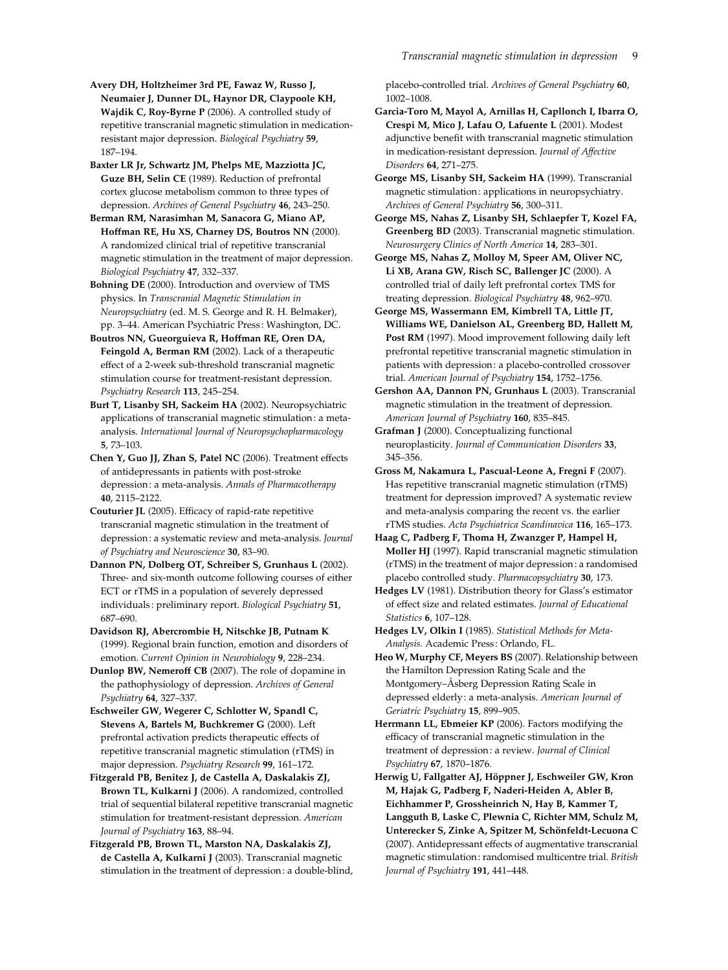Avery DH, Holtzheimer 3rd PE, Fawaz W, Russo J, Neumaier J, Dunner DL, Haynor DR, Claypoole KH, Wajdik C, Roy-Byrne P (2006). A controlled study of repetitive transcranial magnetic stimulation in medicationresistant major depression. Biological Psychiatry 59, 187–194.

Baxter LR Jr, Schwartz JM, Phelps ME, Mazziotta JC, Guze BH, Selin CE (1989). Reduction of prefrontal cortex glucose metabolism common to three types of depression. Archives of General Psychiatry 46, 243–250.

Berman RM, Narasimhan M, Sanacora G, Miano AP, Hoffman RE, Hu XS, Charney DS, Boutros NN (2000). A randomized clinical trial of repetitive transcranial magnetic stimulation in the treatment of major depression. Biological Psychiatry 47, 332–337.

Bohning DE (2000). Introduction and overview of TMS physics. In Transcranial Magnetic Stimulation in Neuropsychiatry (ed. M. S. George and R. H. Belmaker), pp. 3–44. American Psychiatric Press: Washington, DC.

Boutros NN, Gueorguieva R, Hoffman RE, Oren DA, Feingold A, Berman RM (2002). Lack of a therapeutic effect of a 2-week sub-threshold transcranial magnetic stimulation course for treatment-resistant depression. Psychiatry Research 113, 245–254.

Burt T, Lisanby SH, Sackeim HA (2002). Neuropsychiatric applications of transcranial magnetic stimulation: a metaanalysis. International Journal of Neuropsychopharmacology 5, 73–103.

Chen Y, Guo JJ, Zhan S, Patel NC (2006). Treatment effects of antidepressants in patients with post-stroke depression: a meta-analysis. Annals of Pharmacotherapy 40, 2115–2122.

Couturier JL (2005). Efficacy of rapid-rate repetitive transcranial magnetic stimulation in the treatment of depression: a systematic review and meta-analysis. Journal of Psychiatry and Neuroscience 30, 83–90.

Dannon PN, Dolberg OT, Schreiber S, Grunhaus L (2002). Three- and six-month outcome following courses of either ECT or rTMS in a population of severely depressed individuals : preliminary report. Biological Psychiatry 51, 687–690.

Davidson RJ, Abercrombie H, Nitschke JB, Putnam K (1999). Regional brain function, emotion and disorders of emotion. Current Opinion in Neurobiology 9, 228–234.

Dunlop BW, Nemeroff CB (2007). The role of dopamine in the pathophysiology of depression. Archives of General Psychiatry 64, 327–337.

Eschweiler GW, Wegerer C, Schlotter W, Spandl C, Stevens A, Bartels M, Buchkremer G (2000). Left prefrontal activation predicts therapeutic effects of repetitive transcranial magnetic stimulation (rTMS) in major depression. Psychiatry Research 99, 161–172.

Fitzgerald PB, Benitez J, de Castella A, Daskalakis ZJ, Brown TL, Kulkarni J (2006). A randomized, controlled trial of sequential bilateral repetitive transcranial magnetic stimulation for treatment-resistant depression. American Journal of Psychiatry 163, 88–94.

Fitzgerald PB, Brown TL, Marston NA, Daskalakis ZJ, de Castella A, Kulkarni J (2003). Transcranial magnetic stimulation in the treatment of depression: a double-blind, placebo-controlled trial. Archives of General Psychiatry 60, 1002–1008.

Garcia-Toro M, Mayol A, Arnillas H, Capllonch I, Ibarra O, Crespi M, Mico J, Lafau O, Lafuente L (2001). Modest adjunctive benefit with transcranial magnetic stimulation in medication-resistant depression. Journal of Affective Disorders 64, 271–275.

George MS, Lisanby SH, Sackeim HA (1999). Transcranial magnetic stimulation: applications in neuropsychiatry. Archives of General Psychiatry 56, 300–311.

George MS, Nahas Z, Lisanby SH, Schlaepfer T, Kozel FA, Greenberg BD (2003). Transcranial magnetic stimulation. Neurosurgery Clinics of North America 14, 283–301.

George MS, Nahas Z, Molloy M, Speer AM, Oliver NC, Li XB, Arana GW, Risch SC, Ballenger JC (2000). A controlled trial of daily left prefrontal cortex TMS for treating depression. Biological Psychiatry 48, 962–970.

George MS, Wassermann EM, Kimbrell TA, Little JT, Williams WE, Danielson AL, Greenberg BD, Hallett M, Post RM (1997). Mood improvement following daily left prefrontal repetitive transcranial magnetic stimulation in patients with depression: a placebo-controlled crossover trial. American Journal of Psychiatry 154, 1752–1756.

Gershon AA, Dannon PN, Grunhaus L (2003). Transcranial magnetic stimulation in the treatment of depression. American Journal of Psychiatry 160, 835-845.

Grafman J (2000). Conceptualizing functional neuroplasticity. Journal of Communication Disorders 33, 345–356.

Gross M, Nakamura L, Pascual-Leone A, Fregni F (2007). Has repetitive transcranial magnetic stimulation (rTMS) treatment for depression improved? A systematic review and meta-analysis comparing the recent vs. the earlier rTMS studies. Acta Psychiatrica Scandinavica 116, 165–173.

Haag C, Padberg F, Thoma H, Zwanzger P, Hampel H, Moller HJ (1997). Rapid transcranial magnetic stimulation (rTMS) in the treatment of major depression: a randomised placebo controlled study. Pharmacopsychiatry 30, 173.

Hedges LV (1981). Distribution theory for Glass's estimator of effect size and related estimates. Journal of Educational Statistics 6, 107–128.

Hedges LV, Olkin I (1985). Statistical Methods for Meta-Analysis. Academic Press: Orlando, FL.

Heo W, Murphy CF, Meyers BS (2007). Relationship between the Hamilton Depression Rating Scale and the Montgomery–Åsberg Depression Rating Scale in depressed elderly: a meta-analysis. American Journal of Geriatric Psychiatry 15, 899–905.

Herrmann LL, Ebmeier KP (2006). Factors modifying the efficacy of transcranial magnetic stimulation in the treatment of depression: a review. Journal of Clinical Psychiatry 67, 1870–1876.

Herwig U, Fallgatter AJ, Höppner J, Eschweiler GW, Kron M, Hajak G, Padberg F, Naderi-Heiden A, Abler B, Eichhammer P, Grossheinrich N, Hay B, Kammer T, Langguth B, Laske C, Plewnia C, Richter MM, Schulz M, Unterecker S, Zinke A, Spitzer M, Schönfeldt-Lecuona C (2007). Antidepressant effects of augmentative transcranial magnetic stimulation: randomised multicentre trial. British Journal of Psychiatry 191, 441–448.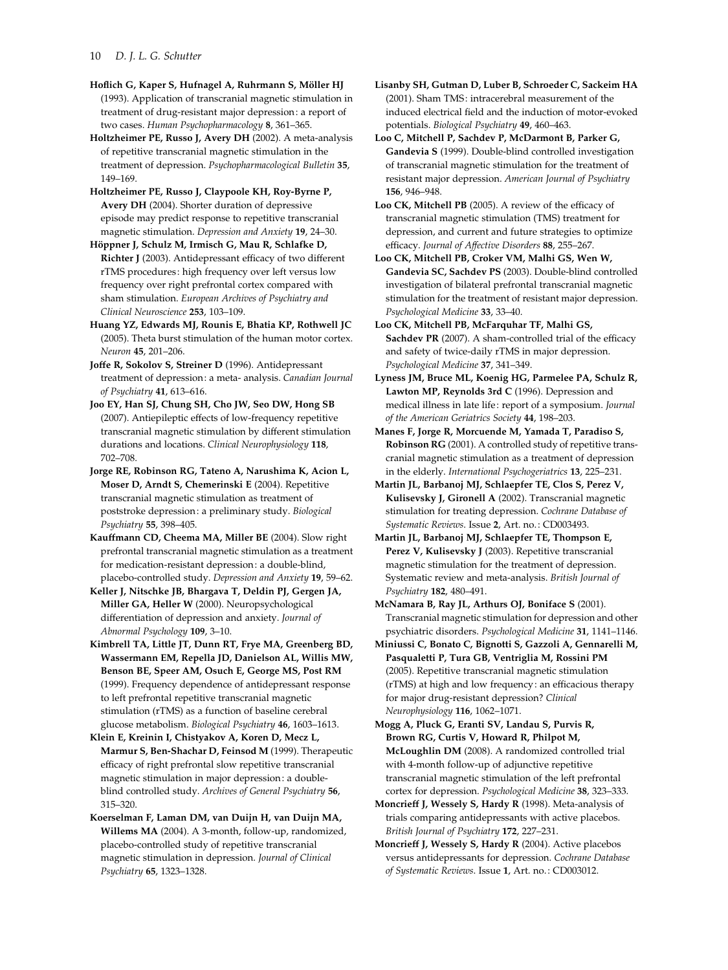## 10 D. J. L. G. Schutter

Hoflich G, Kaper S, Hufnagel A, Ruhrmann S, Möller HJ (1993). Application of transcranial magnetic stimulation in treatment of drug-resistant major depression: a report of two cases. Human Psychopharmacology 8, 361–365.

Holtzheimer PE, Russo J, Avery DH (2002). A meta-analysis of repetitive transcranial magnetic stimulation in the treatment of depression. Psychopharmacological Bulletin 35, 149–169.

Holtzheimer PE, Russo J, Claypoole KH, Roy-Byrne P, Avery DH (2004). Shorter duration of depressive episode may predict response to repetitive transcranial magnetic stimulation. Depression and Anxiety 19, 24–30.

Höppner J, Schulz M, Irmisch G, Mau R, Schlafke D, Richter J (2003). Antidepressant efficacy of two different rTMS procedures: high frequency over left versus low frequency over right prefrontal cortex compared with sham stimulation. European Archives of Psychiatry and Clinical Neuroscience 253, 103–109.

Huang YZ, Edwards MJ, Rounis E, Bhatia KP, Rothwell JC (2005). Theta burst stimulation of the human motor cortex. Neuron 45, 201–206.

Joffe R, Sokolov S, Streiner D (1996). Antidepressant treatment of depression: a meta- analysis. Canadian Journal of Psychiatry 41, 613–616.

Joo EY, Han SJ, Chung SH, Cho JW, Seo DW, Hong SB (2007). Antiepileptic effects of low-frequency repetitive transcranial magnetic stimulation by different stimulation durations and locations. Clinical Neurophysiology 118, 702–708.

Jorge RE, Robinson RG, Tateno A, Narushima K, Acion L, Moser D, Arndt S, Chemerinski E (2004). Repetitive transcranial magnetic stimulation as treatment of poststroke depression: a preliminary study. Biological Psychiatry 55, 398–405.

Kauffmann CD, Cheema MA, Miller BE (2004). Slow right prefrontal transcranial magnetic stimulation as a treatment for medication-resistant depression: a double-blind, placebo-controlled study. Depression and Anxiety 19, 59–62.

Keller J, Nitschke JB, Bhargava T, Deldin PJ, Gergen JA, Miller GA, Heller W (2000). Neuropsychological differentiation of depression and anxiety. Journal of Abnormal Psychology 109, 3–10.

Kimbrell TA, Little JT, Dunn RT, Frye MA, Greenberg BD, Wassermann EM, Repella JD, Danielson AL, Willis MW, Benson BE, Speer AM, Osuch E, George MS, Post RM (1999). Frequency dependence of antidepressant response to left prefrontal repetitive transcranial magnetic stimulation (rTMS) as a function of baseline cerebral glucose metabolism. Biological Psychiatry 46, 1603–1613.

Klein E, Kreinin I, Chistyakov A, Koren D, Mecz L, Marmur S, Ben-Shachar D, Feinsod M (1999). Therapeutic efficacy of right prefrontal slow repetitive transcranial magnetic stimulation in major depression: a doubleblind controlled study. Archives of General Psychiatry 56, 315–320.

Koerselman F, Laman DM, van Duijn H, van Duijn MA, Willems MA (2004). A 3-month, follow-up, randomized, placebo-controlled study of repetitive transcranial magnetic stimulation in depression. Journal of Clinical Psychiatry 65, 1323–1328.

Lisanby SH, Gutman D, Luber B, Schroeder C, Sackeim HA (2001). Sham TMS: intracerebral measurement of the induced electrical field and the induction of motor-evoked potentials. Biological Psychiatry 49, 460–463.

Loo C, Mitchell P, Sachdev P, McDarmont B, Parker G, Gandevia S (1999). Double-blind controlled investigation of transcranial magnetic stimulation for the treatment of resistant major depression. American Journal of Psychiatry 156, 946–948.

Loo CK, Mitchell PB (2005). A review of the efficacy of transcranial magnetic stimulation (TMS) treatment for depression, and current and future strategies to optimize efficacy. Journal of Affective Disorders 88, 255–267.

Loo CK, Mitchell PB, Croker VM, Malhi GS, Wen W, Gandevia SC, Sachdev PS (2003). Double-blind controlled investigation of bilateral prefrontal transcranial magnetic stimulation for the treatment of resistant major depression. Psychological Medicine 33, 33–40.

Loo CK, Mitchell PB, McFarquhar TF, Malhi GS, Sachdev PR (2007). A sham-controlled trial of the efficacy and safety of twice-daily rTMS in major depression. Psychological Medicine 37, 341–349.

Lyness JM, Bruce ML, Koenig HG, Parmelee PA, Schulz R, Lawton MP, Reynolds 3rd C (1996). Depression and medical illness in late life: report of a symposium. Journal of the American Geriatrics Society 44, 198–203.

Manes F, Jorge R, Morcuende M, Yamada T, Paradiso S, Robinson RG (2001). A controlled study of repetitive transcranial magnetic stimulation as a treatment of depression in the elderly. International Psychogeriatrics 13, 225–231.

Martin JL, Barbanoj MJ, Schlaepfer TE, Clos S, Perez V, Kulisevsky J, Gironell A (2002). Transcranial magnetic stimulation for treating depression. Cochrane Database of Systematic Reviews. Issue 2, Art. no.: CD003493.

Martin JL, Barbanoj MJ, Schlaepfer TE, Thompson E, Perez V, Kulisevsky J (2003). Repetitive transcranial magnetic stimulation for the treatment of depression. Systematic review and meta-analysis. British Journal of Psychiatry 182, 480–491.

McNamara B, Ray JL, Arthurs OJ, Boniface S (2001). Transcranial magnetic stimulation for depression and other psychiatric disorders. Psychological Medicine 31, 1141–1146.

Miniussi C, Bonato C, Bignotti S, Gazzoli A, Gennarelli M, Pasqualetti P, Tura GB, Ventriglia M, Rossini PM (2005). Repetitive transcranial magnetic stimulation (rTMS) at high and low frequency: an efficacious therapy for major drug-resistant depression? Clinical Neurophysiology 116, 1062–1071.

Mogg A, Pluck G, Eranti SV, Landau S, Purvis R, Brown RG, Curtis V, Howard R, Philpot M, McLoughlin DM (2008). A randomized controlled trial with 4-month follow-up of adjunctive repetitive transcranial magnetic stimulation of the left prefrontal cortex for depression. Psychological Medicine 38, 323–333.

Moncrieff J, Wessely S, Hardy R (1998). Meta-analysis of trials comparing antidepressants with active placebos. British Journal of Psychiatry 172, 227–231.

Moncrieff J, Wessely S, Hardy R (2004). Active placebos versus antidepressants for depression. Cochrane Database of Systematic Reviews. Issue 1, Art. no.: CD003012.